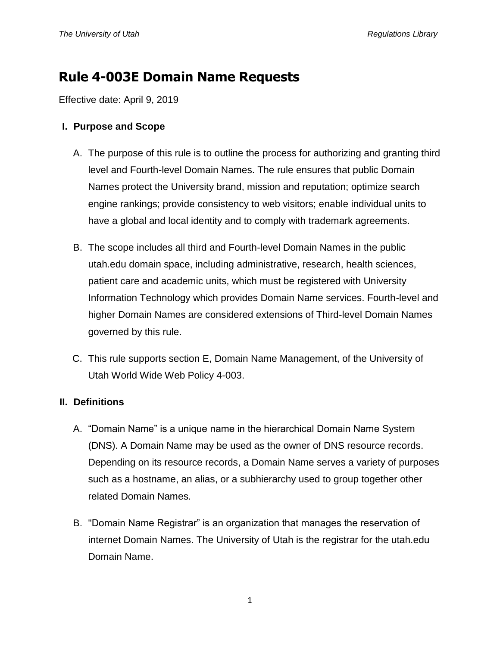# **Rule 4-003E Domain Name Requests**

Effective date: April 9, 2019

## **I. Purpose and Scope**

- A. The purpose of this rule is to outline the process for authorizing and granting third level and Fourth-level Domain Names. The rule ensures that public Domain Names protect the University brand, mission and reputation; optimize search engine rankings; provide consistency to web visitors; enable individual units to have a global and local identity and to comply with trademark agreements.
- B. The scope includes all third and Fourth-level Domain Names in the public utah.edu domain space, including administrative, research, health sciences, patient care and academic units, which must be registered with University Information Technology which provides Domain Name services. Fourth-level and higher Domain Names are considered extensions of Third-level Domain Names governed by this rule.
- C. This rule supports section E, Domain Name Management, of the University of Utah World Wide Web Policy 4-003.

# **II. Definitions**

- A. "Domain Name" is a unique name in the hierarchical Domain Name System (DNS). A Domain Name may be used as the owner of DNS resource records. Depending on its resource records, a Domain Name serves a variety of purposes such as a hostname, an alias, or a subhierarchy used to group together other related Domain Names.
- B. "Domain Name Registrar" is an organization that manages the reservation of internet Domain Names. The University of Utah is the registrar for the utah.edu Domain Name.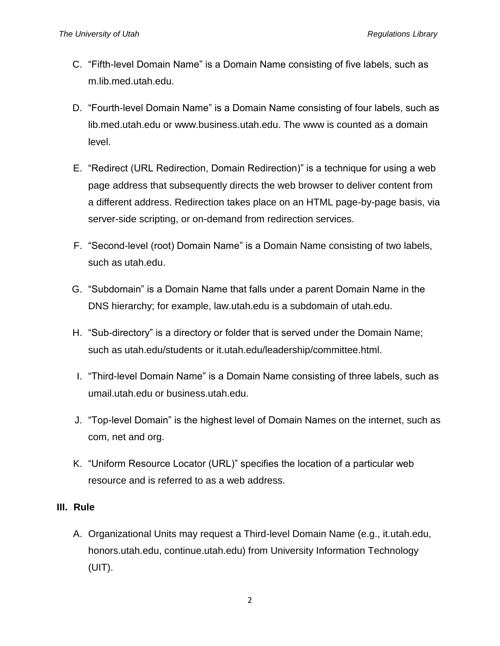- C. "Fifth-level Domain Name" is a Domain Name consisting of five labels, such as m.lib.med.utah.edu.
- D. "Fourth-level Domain Name" is a Domain Name consisting of four labels, such as lib.med.utah.edu or www.business.utah.edu. The www is counted as a domain level.
- E. "Redirect (URL Redirection, Domain Redirection)" is a technique for using a web page address that subsequently directs the web browser to deliver content from a different address. Redirection takes place on an HTML page-by-page basis, via server-side scripting, or on-demand from redirection services.
- F. "Second-level (root) Domain Name" is a Domain Name consisting of two labels, such as utah.edu.
- G. "Subdomain" is a Domain Name that falls under a parent Domain Name in the DNS hierarchy; for example, law.utah.edu is a subdomain of utah.edu.
- H. "Sub-directory" is a directory or folder that is served under the Domain Name; such as utah.edu/students or it.utah.edu/leadership/committee.html.
- I. "Third-level Domain Name" is a Domain Name consisting of three labels, such as umail.utah.edu or business.utah.edu.
- J. "Top-level Domain" is the highest level of Domain Names on the internet, such as com, net and org.
- K. "Uniform Resource Locator (URL)" specifies the location of a particular web resource and is referred to as a web address.

### **III. Rule**

A. Organizational Units may request a Third-level Domain Name (e.g., it.utah.edu, honors.utah.edu, continue.utah.edu) from University Information Technology (UIT).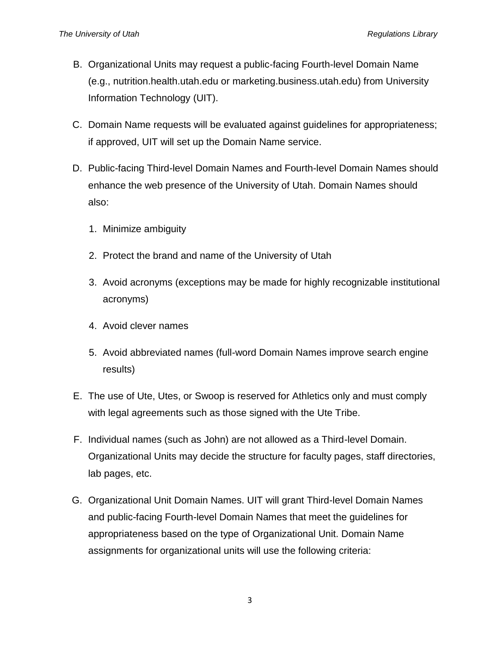- B. Organizational Units may request a public-facing Fourth-level Domain Name (e.g., nutrition.health.utah.edu or marketing.business.utah.edu) from University Information Technology (UIT).
- C. Domain Name requests will be evaluated against guidelines for appropriateness; if approved, UIT will set up the Domain Name service.
- D. Public-facing Third-level Domain Names and Fourth-level Domain Names should enhance the web presence of the University of Utah. Domain Names should also:
	- 1. Minimize ambiguity
	- 2. Protect the brand and name of the University of Utah
	- 3. Avoid acronyms (exceptions may be made for highly recognizable institutional acronyms)
	- 4. Avoid clever names
	- 5. Avoid abbreviated names (full-word Domain Names improve search engine results)
- E. The use of Ute, Utes, or Swoop is reserved for Athletics only and must comply with legal agreements such as those signed with the Ute Tribe.
- F. Individual names (such as John) are not allowed as a Third-level Domain. Organizational Units may decide the structure for faculty pages, staff directories, lab pages, etc.
- G. Organizational Unit Domain Names. UIT will grant Third-level Domain Names and public-facing Fourth-level Domain Names that meet the guidelines for appropriateness based on the type of Organizational Unit. Domain Name assignments for organizational units will use the following criteria: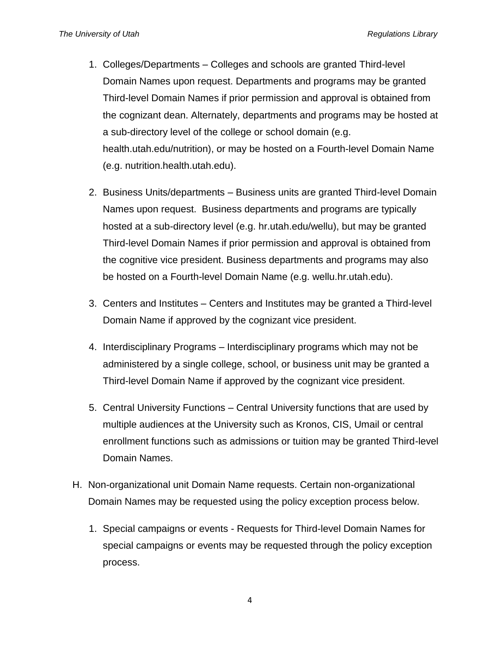- 1. Colleges/Departments Colleges and schools are granted Third-level Domain Names upon request. Departments and programs may be granted Third-level Domain Names if prior permission and approval is obtained from the cognizant dean. Alternately, departments and programs may be hosted at a sub-directory level of the college or school domain (e.g. health.utah.edu/nutrition), or may be hosted on a Fourth-level Domain Name (e.g. nutrition.health.utah.edu).
- 2. Business Units/departments Business units are granted Third-level Domain Names upon request. Business departments and programs are typically hosted at a sub-directory level (e.g. hr.utah.edu/wellu), but may be granted Third-level Domain Names if prior permission and approval is obtained from the cognitive vice president. Business departments and programs may also be hosted on a Fourth-level Domain Name (e.g. wellu.hr.utah.edu).
- 3. Centers and Institutes Centers and Institutes may be granted a Third-level Domain Name if approved by the cognizant vice president.
- 4. Interdisciplinary Programs Interdisciplinary programs which may not be administered by a single college, school, or business unit may be granted a Third-level Domain Name if approved by the cognizant vice president.
- 5. Central University Functions Central University functions that are used by multiple audiences at the University such as Kronos, CIS, Umail or central enrollment functions such as admissions or tuition may be granted Third-level Domain Names.
- H. Non-organizational unit Domain Name requests. Certain non-organizational Domain Names may be requested using the policy exception process below.
	- 1. Special campaigns or events Requests for Third-level Domain Names for special campaigns or events may be requested through the policy exception process.

4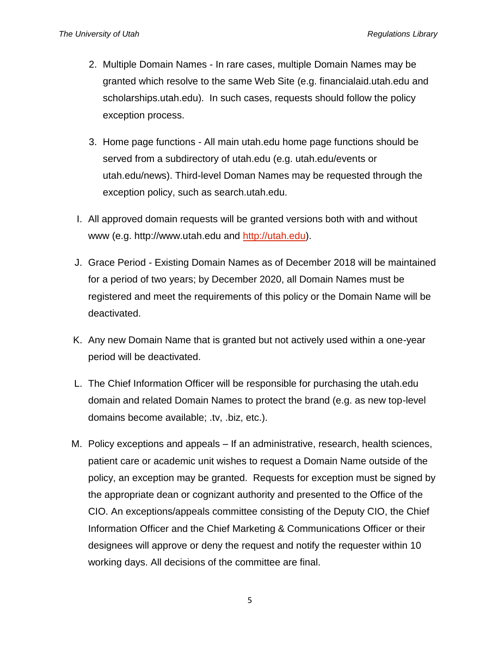- 2. Multiple Domain Names In rare cases, multiple Domain Names may be granted which resolve to the same Web Site (e.g. financialaid.utah.edu and scholarships.utah.edu). In such cases, requests should follow the policy exception process.
- 3. Home page functions All main utah.edu home page functions should be served from a subdirectory of utah.edu (e.g. utah.edu/events or utah.edu/news). Third-level Doman Names may be requested through the exception policy, such as search.utah.edu.
- I. All approved domain requests will be granted versions both with and without www (e.g. http://www.utah.edu and [http://utah.edu\)](http://utah.edu/).
- J. Grace Period Existing Domain Names as of December 2018 will be maintained for a period of two years; by December 2020, all Domain Names must be registered and meet the requirements of this policy or the Domain Name will be deactivated.
- K. Any new Domain Name that is granted but not actively used within a one-year period will be deactivated.
- L. The Chief Information Officer will be responsible for purchasing the utah.edu domain and related Domain Names to protect the brand (e.g. as new top-level domains become available; .tv, .biz, etc.).
- M. Policy exceptions and appeals If an administrative, research, health sciences, patient care or academic unit wishes to request a Domain Name outside of the policy, an exception may be granted. Requests for exception must be signed by the appropriate dean or cognizant authority and presented to the Office of the CIO. An exceptions/appeals committee consisting of the Deputy CIO, the Chief Information Officer and the Chief Marketing & Communications Officer or their designees will approve or deny the request and notify the requester within 10 working days. All decisions of the committee are final.

5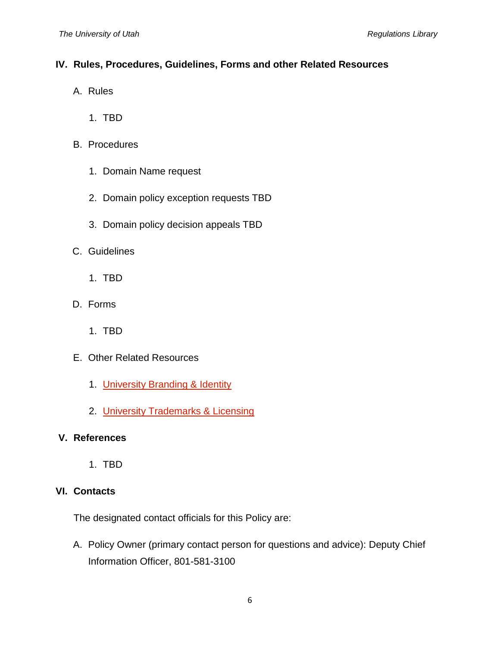# **IV. Rules, Procedures, Guidelines, Forms and other Related Resources**

- A. Rules
	- 1. TBD
- B. Procedures
	- 1. Domain Name request
	- 2. Domain policy exception requests TBD
	- 3. Domain policy decision appeals TBD
- C. Guidelines
	- 1. TBD
- D. Forms
	- 1. TBD
- E. Other Related Resources
	- 1. [University Branding & Identity](https://umc.utah.edu/resources/branding-guidelines/)
	- 2. [University Trademarks & Licensing](https://trademarks.utah.edu/)

### **V. References**

1. TBD

# **VI. Contacts**

The designated contact officials for this Policy are:

A. Policy Owner (primary contact person for questions and advice): Deputy Chief Information Officer, 801-581-3100